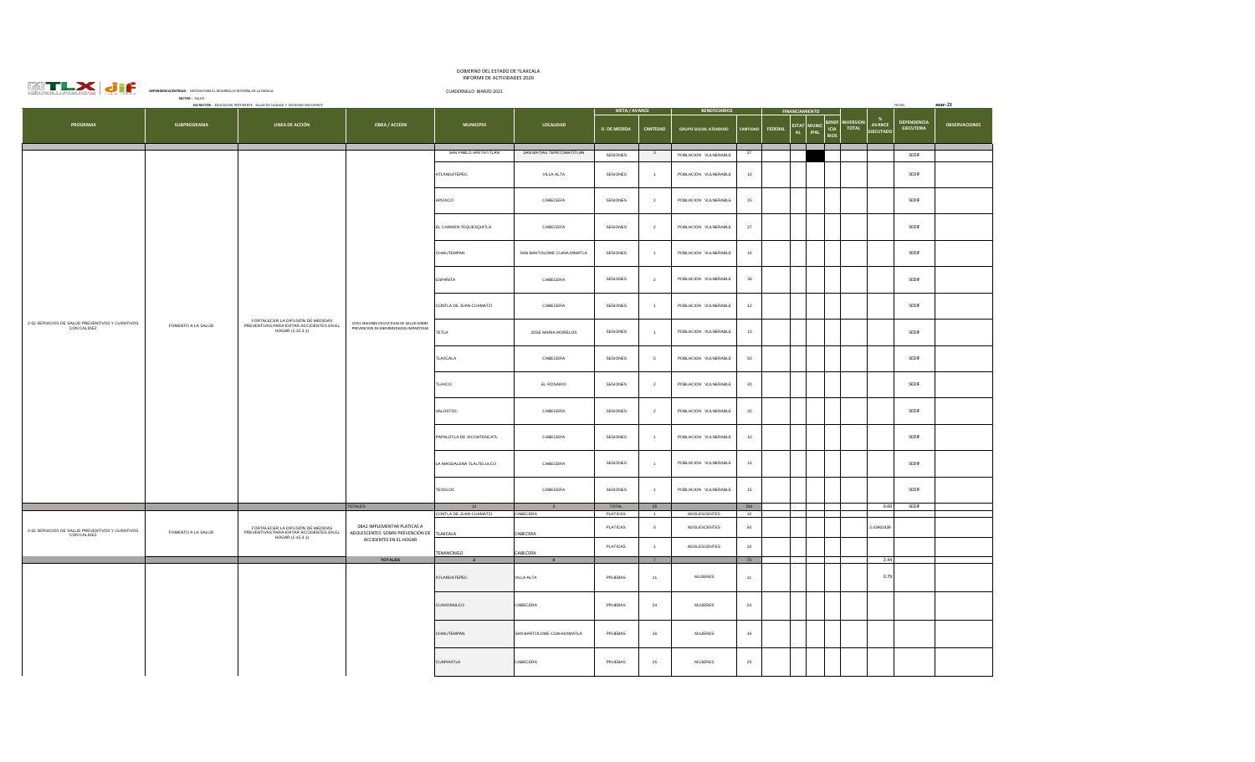| <b>EXAMPLE AND STRUCTURE OF PROGRAMMOND:</b> SSTEMA PARA EL OSSAROLLO INTEGRAL DE LA FAMILA |                    |                                                                                                   |                                                                                                    | INFORME DE ACTIVIDADES 2020         |                                     |                          |                                  |                                              |                 |                |                      |                                                                               |                                 |                      |
|---------------------------------------------------------------------------------------------|--------------------|---------------------------------------------------------------------------------------------------|----------------------------------------------------------------------------------------------------|-------------------------------------|-------------------------------------|--------------------------|----------------------------------|----------------------------------------------|-----------------|----------------|----------------------|-------------------------------------------------------------------------------|---------------------------------|----------------------|
|                                                                                             | SECTOR: SALUD      |                                                                                                   |                                                                                                    | CUADERNILLO MARZO 2021              |                                     |                          |                                  |                                              |                 |                |                      |                                                                               |                                 |                      |
|                                                                                             |                    | EJE RECTOR : EDUCACION PERTINENTE SALUD DE CAUDAD Y SOCIEDAD INCLUYENTE                           |                                                                                                    |                                     |                                     | <b>META / AVANCE</b>     |                                  | <b>BENEFICIARIOS</b>                         |                 |                | <b>INANCIAMIENTO</b> |                                                                               | FECHA:                          | $mar-21$             |
| PROGRAMA                                                                                    | <b>SUBPROGRAMA</b> | LINEA DE ACCIÓN                                                                                   | <b>OBRA / ACCION</b>                                                                               | <b>MUNICIPIO</b>                    | LOCALIDAD                           | <b>U. DE MEDIDA</b>      | CANTIDAD                         | <b>GRUPO SOCIAL ATENDIDO</b>                 | <b>CANTIDAD</b> | <b>FEDERAL</b> |                      | %<br>ESTAT MUNIC BENEF INVERSION<br>AL IPAL ICIA TOTAL<br>AVANCE<br>EJECUTADO | DEPENDENCIA<br><b>EJECUTORA</b> | <b>OBSERVACIONES</b> |
|                                                                                             |                    |                                                                                                   |                                                                                                    | SAN PABLO APETATITLAN               | SAN MATIAS TEPETOMATITLAN           | SESIONES                 | $\overline{\mathbf{3}}$          | POBLACION VULNERABLE                         | 37              |                |                      |                                                                               | SEDIF                           |                      |
|                                                                                             |                    |                                                                                                   |                                                                                                    | ATLANGATEPEC                        | VILLA ALTA                          | SESIONES                 |                                  | POBLACION VULNERABLE                         | $10$            |                |                      |                                                                               | SEDIF                           |                      |
|                                                                                             |                    |                                                                                                   |                                                                                                    | APIZACO                             | CABECERA                            | SESIONES                 | $\mathbf{2}$                     | POBLACION VULNERABLE                         | $\bf 25$        |                |                      |                                                                               | SEDIF                           |                      |
|                                                                                             |                    |                                                                                                   |                                                                                                    | EL CARMEN TEQUEXQUITLA              | CABECERA                            | SESIONES                 | $\overline{2}$                   | POBLACION VULNERABLE                         | $27\,$          |                |                      |                                                                               | SEDIF                           |                      |
|                                                                                             |                    |                                                                                                   |                                                                                                    | CHIAUTEMPAN                         | SAN BARTOLOME CUAHUIXMATLA          | SESIONES                 | $\overline{1}$                   | POBLACION VULNERABLE                         | 10              |                |                      |                                                                               | SEDIF                           |                      |
|                                                                                             |                    |                                                                                                   |                                                                                                    | <b>ESPAÑITA</b>                     | CABECERA                            | SESIONES                 | $\overline{2}$                   | POBLACION VULNERABLE                         | 30              |                |                      |                                                                               | SEDIF                           |                      |
| 2-02 SERVICIOS DE SALUD PREVENTIVOS Y CURATIVOS                                             | FOMENTO A LA SALUD | FORTALECER LA DIFUSIÓN DE MEDIDAS<br>PREVENTIVAS PARA EVITAR ACCIDENTES EN EL<br>HOGAR (2.15.3.1) | 07A1 SESIONES EDUCATIVAS DE SALUD SOBRE<br>PREVENCION DE ENFERMEDADES IMPARTIDAS                   | CONTLA DE JUAN CUAMATZI             | CABECERA                            | SESIONES                 | $\overline{1}$                   | POBLACION VULNERABLE                         | 12              |                |                      |                                                                               | SEDIF                           |                      |
| CON CALIDEZ                                                                                 |                    |                                                                                                   |                                                                                                    | <b>TETLA</b>                        | JOSE MARIA MORELOS                  | SESIONES                 | $\overline{1}$                   | POBLACION VULNERABLE                         | 10              |                |                      |                                                                               | SEDIF                           |                      |
|                                                                                             |                    |                                                                                                   |                                                                                                    | TLAXCALA                            | CABECERA                            | SESIONES                 | 5                                | POBLACION VULNERABLE                         | 50              |                |                      |                                                                               | SEDIF                           |                      |
|                                                                                             |                    |                                                                                                   |                                                                                                    | TLAXCO                              | EL ROSARIO                          | SESIONES                 | $\overline{2}$                   | POBLACION VULNERABLE                         | 20              |                |                      |                                                                               | SEDIF                           |                      |
|                                                                                             |                    |                                                                                                   |                                                                                                    | XALOSTOC                            | CABECERA                            | SESIONES                 | $\overline{2}$                   | POBLACION VULNERABLE                         | ${\bf 20}$      |                |                      |                                                                               | SEDIF                           |                      |
|                                                                                             |                    |                                                                                                   |                                                                                                    | PAPALOTLA DE XICOHTENCATL           | CABECERA                            | SESIONES                 | $\overline{1}$                   | POBLACION VULNERABLE                         | 10              |                |                      |                                                                               | SEDIF                           |                      |
|                                                                                             |                    |                                                                                                   |                                                                                                    | LA MAGDALENA TLALTELULCO<br>TEXOLOC | CABECERA<br>CABECERA                | SESIONES<br>SESIONES     | $\overline{1}$<br>$\overline{1}$ | POBLACION VULNERABLE<br>POBLACION VULNERABLE | 15<br>$15\,$    |                |                      |                                                                               | SEDIF<br>SEDIF                  |                      |
|                                                                                             |                    |                                                                                                   |                                                                                                    |                                     |                                     |                          |                                  |                                              |                 |                |                      |                                                                               |                                 |                      |
|                                                                                             |                    |                                                                                                   | <b>TOTALES</b>                                                                                     | $14 -$<br>CONTLA DE JUAN CUAMATZI   | $\overline{\mathbf{3}}$<br>CABECERA | TOTAL<br><b>PLATICAS</b> | 25<br>$\overline{1}$             | ADOLESCENTES                                 | 291<br>10       |                |                      | 0.00                                                                          | SEDIF                           |                      |
| 2-02 SERVICIOS DE SALUD PREVENTIVOS Y CURATIVOS<br>CON CALIDEZ                              | FOMENTO A LA SALUD | FORTALECER LA DIFUSIÓN DE MEDIDAS<br>PREVENTIVAS PARA EVITAR ACCIDENTES EN EL<br>HOGAR (2.15.3.1) | 08A1 IMPLEMENTAR PLATICAS A<br>ADOLESCENTES SOBRE PREVENCIÓN DE TLAXCALA<br>ACCIDENTES EN EL HOGAR |                                     | CABECERA                            | <b>PLATICAS</b>          | 5                                | ADOLESCENTES                                 | 50              |                |                      | 2.43902439                                                                    |                                 |                      |
|                                                                                             |                    |                                                                                                   |                                                                                                    | TENANCINGO                          | CABECERA                            | PLATICAS                 | $-1$                             | ADOLESCENTES                                 | $10\,$          |                |                      |                                                                               |                                 |                      |
|                                                                                             |                    |                                                                                                   | <b>TOTALES</b>                                                                                     |                                     |                                     |                          | 7                                |                                              | 70              |                |                      | 2.44                                                                          |                                 |                      |
|                                                                                             |                    |                                                                                                   |                                                                                                    | ATLANGATEPEC                        | VILLA ALTA                          | PRUEBAS                  | 11                               | <b>MUJERES</b>                               | 11              |                |                      | 0.79                                                                          |                                 |                      |
|                                                                                             |                    |                                                                                                   |                                                                                                    | CUAXOMULCO                          | CABECERA                            | PRUEBAS                  | 24                               | MUJERES                                      | $24\,$          |                |                      |                                                                               |                                 |                      |
|                                                                                             |                    |                                                                                                   |                                                                                                    | CHIAUTEMPAN                         | SAN BARTOLOME CUAHUIXMATLA          | PRUEBAS                  | 16                               | <b>MUJERES</b>                               | 16              |                |                      |                                                                               |                                 |                      |
|                                                                                             |                    |                                                                                                   |                                                                                                    | <b>CUAPIAXTLA</b>                   | CABECERA                            | PRUEBAS                  | 25                               | <b>MUJERES</b>                               | 25              |                |                      |                                                                               |                                 |                      |

GOBIERNO DEL ESTADO DE TLAXCALA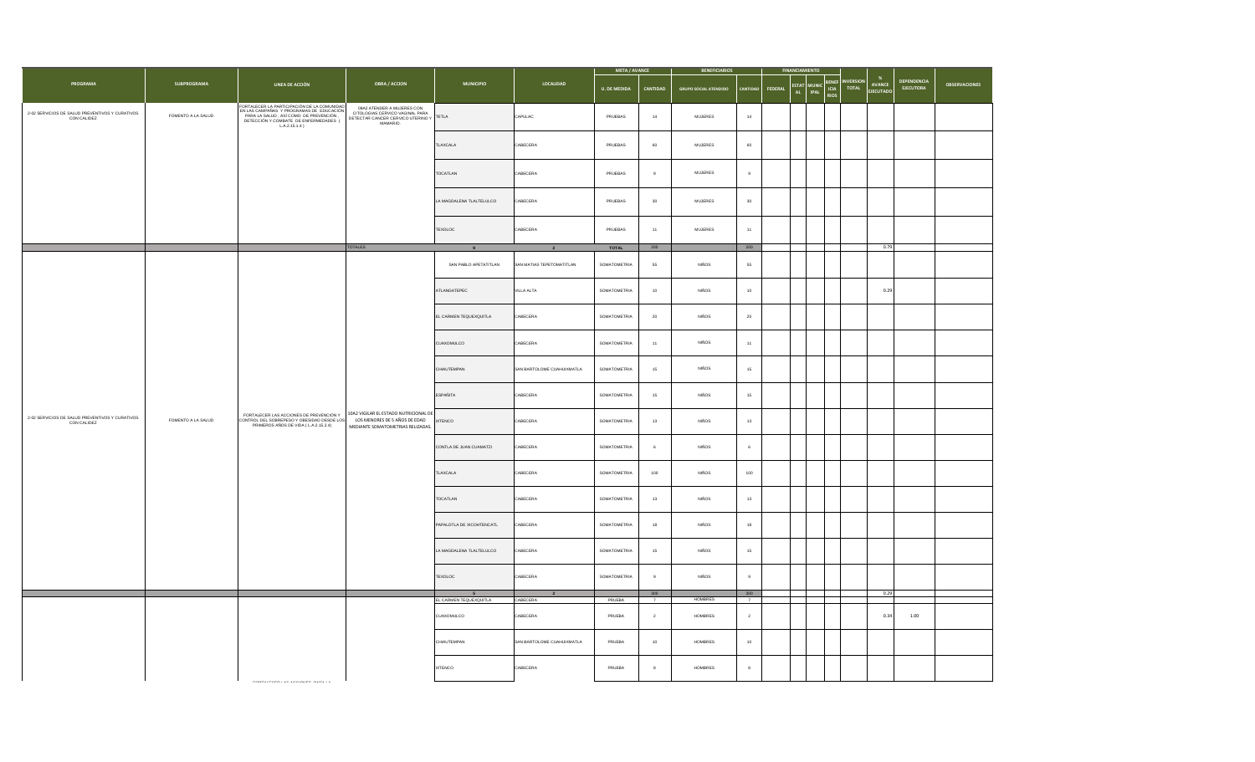|                                                                |                    |                                                                                                                                                                                                  |                                                                                                                |                                           | <b>META / AVANCE</b>       |                     | <b>BENEFICIARIOS</b>  |                              |                       | <b>FINANCIAMIENTO</b> |                              |                                           |                                  |                                                    |                                 |               |
|----------------------------------------------------------------|--------------------|--------------------------------------------------------------------------------------------------------------------------------------------------------------------------------------------------|----------------------------------------------------------------------------------------------------------------|-------------------------------------------|----------------------------|---------------------|-----------------------|------------------------------|-----------------------|-----------------------|------------------------------|-------------------------------------------|----------------------------------|----------------------------------------------------|---------------------------------|---------------|
| <b>PROGRAMA</b>                                                | <b>SUBPROGRAMA</b> | LINEA DE ACCIÓN                                                                                                                                                                                  | <b>OBRA / ACCION</b>                                                                                           | <b>MUNICIPIO</b>                          | LOCALIDAD                  | <b>U. DE MEDIDA</b> | CANTIDAD              | <b>GRUPO SOCIAL ATENDIDO</b> | CANTIDAD              | FEDERAL               | ESTAT<br><b>IPAL</b><br>AL . | <b>BENEF</b><br>MUNIC ICIA<br><b>RIOS</b> | <b>INVERSION</b><br><b>TOTAL</b> | $\frac{96}{2}$<br><b>AVANCE</b><br><b>FIFCUTAD</b> | DEPENDENCIA<br><b>EJECUTORA</b> | OBSERVACIONES |
| 2-02 SERVICIOS DE SALUD PREVENTIVOS Y CURATIVOS<br>CON CALIDEZ | FOMENTO A LA SALUD | FORTALECER LA PARTICIPACIÓN DE LA COMUNIDAD<br>EN LAS CAMPAÑAS Y PROGRAMAS DE EDUCACIÓN<br>PARA LA SALUD , ASÍ COMO DE PREVENCIÓN ,<br>DETECCIÓN Y COMBATE DE ENFERMEDADES (<br>$L.A.2.15.1.4$ ) | 09A2 ATENDER A MUJERES CON<br>CITOLOGIAS CERVICO VAGINAL PARA<br>DETECTAR CANCER CERVICO UTERINO Y<br>MAMARIO. |                                           | CAPULAC                    | PRUEBAS             | $14$                  | $\mathsf{MULERES}\xspace$    | 14                    |                       |                              |                                           |                                  |                                                    |                                 |               |
|                                                                |                    |                                                                                                                                                                                                  |                                                                                                                | TLAXCALA                                  | CABECERA                   | PRUEBAS             | 60                    | MUJERES                      | 60                    |                       |                              |                                           |                                  |                                                    |                                 |               |
|                                                                |                    |                                                                                                                                                                                                  |                                                                                                                | <b>TOCATLAN</b>                           | CABECERA                   | PRUEBAS             | $\mathbf{a}$          | <b>MUJERES</b>               | $\mathbf{q}$          |                       |                              |                                           |                                  |                                                    |                                 |               |
|                                                                |                    |                                                                                                                                                                                                  |                                                                                                                | LA MAGDALENA TLALTELULCO                  | CABECERA                   | PRUEBAS             | $30\,$                | $\mathsf{MUIERS}\xspace$     | $30\,$                |                       |                              |                                           |                                  |                                                    |                                 |               |
|                                                                |                    |                                                                                                                                                                                                  |                                                                                                                | TEXOLOC                                   | CABECERA                   | PRUEBAS             | 11                    | <b>MUJERES</b>               | 11                    |                       |                              |                                           |                                  |                                                    |                                 |               |
|                                                                |                    |                                                                                                                                                                                                  | <b>TOTALES</b>                                                                                                 |                                           | $\overline{2}$             | <b>TOTAL</b>        | 200                   |                              | 200                   |                       |                              |                                           |                                  | 0.79                                               |                                 |               |
|                                                                |                    |                                                                                                                                                                                                  |                                                                                                                | SAN PABLO APETATITLAN                     | SAN MATIAS TEPETOMATITLAN  | SOMATOMETRIA        | 55                    | <b>NIÑOS</b>                 | 55                    |                       |                              |                                           |                                  |                                                    |                                 |               |
|                                                                |                    |                                                                                                                                                                                                  |                                                                                                                | ATLANGATEPEC                              | VILLA ALTA                 | SOMATOMETRIA        | 10                    | <b>NIÑOS</b>                 | 10                    |                       |                              |                                           |                                  | 0.29                                               |                                 |               |
|                                                                |                    |                                                                                                                                                                                                  |                                                                                                                | EL CARMEN TEQUEXQUITLA                    | ABECERA                    | SOMATOMETRIA        | $20\,$                | NIÑOS                        | $\bf{20}$             |                       |                              |                                           |                                  |                                                    |                                 |               |
|                                                                |                    |                                                                                                                                                                                                  |                                                                                                                | CUAXOMULCO                                | CABECERA                   | SOMATOMETRIA        | 11                    | <b>NIÑOS</b>                 | 11                    |                       |                              |                                           |                                  |                                                    |                                 |               |
|                                                                |                    |                                                                                                                                                                                                  |                                                                                                                | CHIAUTEMPAN                               | SAN BARTOLOME CUAHUIXMATLA | SOMATOMETRIA        | 15                    | <b>NIÑOS</b>                 | 15                    |                       |                              |                                           |                                  |                                                    |                                 |               |
|                                                                |                    | FORTALECER LAS ACCIONES DE PREVENCIÓN Y<br>CONTROL DEL SOBREPESO Y OBESIDAD DESDE LOS<br>PRIMEROS AÑOS DE VIDA (L.A.2.15.2.4)                                                                    | 10A2 VIGILAR EL ESTADO NUTRICIONAL DE<br>LOS MENORES DE 5 AÑOS DE EDAD<br>MEDIANTE SOMATOMETRIAS RELIZADAS.    | <b>ESPAÑITA</b>                           | CABECERA                   | SOMATOMETRIA        | 15                    | <b>NIÑOS</b>                 | $15\,$                |                       |                              |                                           |                                  |                                                    |                                 |               |
| 2-02 SERVICIOS DE SALUD PREVENTIVOS Y CURATIVOS<br>CON CALIDEZ | FOMENTO A LA SALUD |                                                                                                                                                                                                  |                                                                                                                | <b>IXTENCO</b>                            | CABECERA                   | SOMATOMETRIA        | 13                    | <b>NIÑOS</b>                 | 13                    |                       |                              |                                           |                                  |                                                    |                                 |               |
|                                                                |                    |                                                                                                                                                                                                  |                                                                                                                | CONTLA DE JUAN CUAMATZI                   | CABECERA                   | SOMATOMETRIA        |                       | NIÑOS                        | $\mathbb{R}$          |                       |                              |                                           |                                  |                                                    |                                 |               |
|                                                                |                    |                                                                                                                                                                                                  |                                                                                                                | TLAXCALA                                  | CABECERA                   | SOMATOMETRIA        | 100                   | <b>NIÑOS</b>                 | 100                   |                       |                              |                                           |                                  |                                                    |                                 |               |
|                                                                |                    |                                                                                                                                                                                                  |                                                                                                                | TOCATLAN                                  | CABECERA                   | SOMATOMETRIA        | 13                    | NIÑOS                        | 13                    |                       |                              |                                           |                                  |                                                    |                                 |               |
|                                                                |                    |                                                                                                                                                                                                  |                                                                                                                | PAPALOTLA DE XICOHTENCATL                 | CABECERA                   | SOMATOMETRIA        | 18                    | <b>NIÑOS</b>                 | 18                    |                       |                              |                                           |                                  |                                                    |                                 |               |
|                                                                |                    |                                                                                                                                                                                                  |                                                                                                                | LA MAGDALENA TLALTELULCO                  | CABECERA                   | SOMATOMETRIA        | 15                    | <b>NIÑOS</b>                 | 15                    |                       |                              |                                           |                                  |                                                    |                                 |               |
|                                                                |                    |                                                                                                                                                                                                  |                                                                                                                | TEXOLOC                                   | CABECERA                   | SOMATOMETRIA        | $\overline{9}$        | <b>NIÑOS</b>                 | $\circ$               |                       |                              |                                           |                                  |                                                    |                                 |               |
|                                                                |                    |                                                                                                                                                                                                  |                                                                                                                | $5\overline{5}$<br>EL CARMEN TEQUEXQUITLA | CABECERA                   | PRUEBA              | 300<br>$\overline{7}$ | HOMBRES                      | 300<br>$\overline{7}$ |                       |                              |                                           |                                  | 0.29                                               |                                 |               |
|                                                                |                    |                                                                                                                                                                                                  |                                                                                                                | CUAXOMULCO                                | CABECERA                   | PRUEBA              | $\overline{2}$        | <b>HOMBRES</b>               | $\overline{2}$        |                       |                              |                                           |                                  | 0.34                                               | 1.00                            |               |
|                                                                |                    |                                                                                                                                                                                                  |                                                                                                                | CHIAUTEMPAN                               | SAN BARTOLOME CUAHUIXMATLA | PRUEBA              | 10                    | HOMBRES                      | 10                    |                       |                              |                                           |                                  |                                                    |                                 |               |
|                                                                |                    |                                                                                                                                                                                                  |                                                                                                                | <b>IXTENCO</b>                            | CABECERA                   | PRUEBA              | $\,$ 8 $\,$           | HOMBRES                      | 8                     |                       |                              |                                           |                                  |                                                    |                                 |               |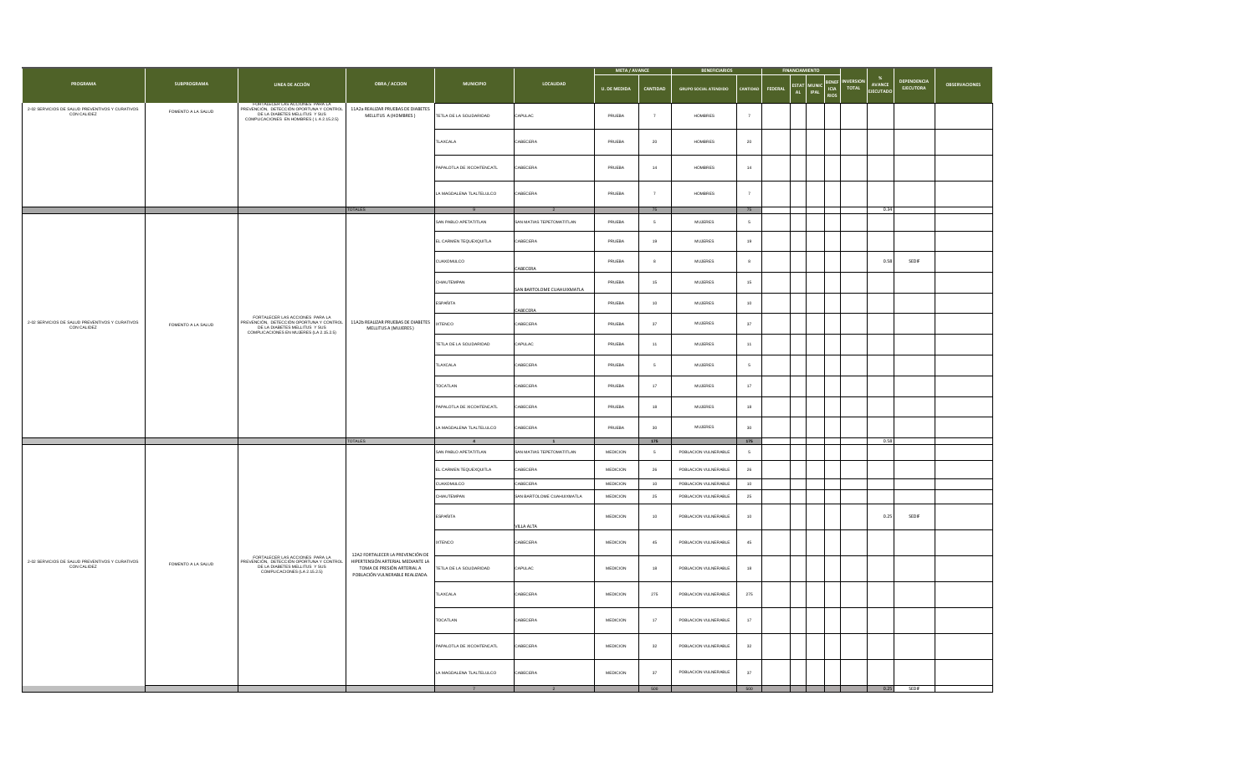|                                                                |                    |                                                                                                                                                         |                                                                                                    |                                       | <b>META / AVANCE</b>       |                     | <b>BENEFICIARIOS</b> |                              |                                 |         |                                                    |                              |                                 |                                      |                                 |                      |
|----------------------------------------------------------------|--------------------|---------------------------------------------------------------------------------------------------------------------------------------------------------|----------------------------------------------------------------------------------------------------|---------------------------------------|----------------------------|---------------------|----------------------|------------------------------|---------------------------------|---------|----------------------------------------------------|------------------------------|---------------------------------|--------------------------------------|---------------------------------|----------------------|
| <b>PROGRAMA</b>                                                | <b>SUBPROGRAMA</b> | LINEA DE ACCIÓN                                                                                                                                         | <b>OBRA / ACCION</b>                                                                               | <b>MUNICIPIO</b>                      | <b>LOCALIDAD</b>           | <b>U. DE MEDIDA</b> | CANTIDAD             | <b>GRUPO SOCIAL ATENDIDO</b> |                                 | FEDERAL | <b>ESTAT</b><br><b>MUNIC</b><br><b>IPAL</b><br>AL. | BENEF<br>ICIA<br><b>RIOS</b> | <b>NVERSION</b><br><b>TOTAL</b> | $\frac{96}{2}$<br>AVANCE<br>EJECUTAD | DEPENDENCIA<br><b>EJECUTORA</b> | <b>OBSERVACIONES</b> |
| 2-02 SERVICIOS DE SALUD PREVENTIVOS Y CURATIVOS CON CALIDEZ    | FOMENTO A LA SALUD | FORTALECER LAS ACCIONES PARA LA<br>PREVENCIÓN, DETECCIÓN OPORTUNA Y CONTROL<br>DE LA DIABETES MELLITUS Y SUS<br>COMPLICACIONES EN HOMBRES (LA 2.15.2.5) | 11A2a REALIZAR PRUEBAS DE DIABETES<br>MELLITUS A (HOMBRES)                                         | TETLA DE LA SOLIDARIDAD               | CAPULAC                    | PRUEBA              | $\overline{7}$       | <b>HOMBRES</b>               | $\overline{7}$                  |         |                                                    |                              |                                 |                                      |                                 |                      |
|                                                                |                    |                                                                                                                                                         |                                                                                                    | TLAXCALA                              | CABECERA                   | PRUEBA              | $20\,$               | HOMBRES                      | $\bf{20}$                       |         |                                                    |                              |                                 |                                      |                                 |                      |
|                                                                |                    |                                                                                                                                                         |                                                                                                    | PAPALOTLA DE XICOHTENCATL             | CABECERA                   | PRUEBA              | 14                   | <b>HOMBRES</b>               | 14                              |         |                                                    |                              |                                 |                                      |                                 |                      |
|                                                                |                    |                                                                                                                                                         |                                                                                                    | LA MAGDALENA TLALTELULCO              | CABECERA                   | PRUEBA              | $\overline{7}$       | <b>HOMBRES</b>               | $\overline{7}$                  |         |                                                    |                              |                                 |                                      |                                 |                      |
|                                                                |                    |                                                                                                                                                         | <b>TOTALES</b>                                                                                     | 9                                     |                            |                     | 75                   |                              | 75                              |         |                                                    |                              |                                 | 0.34                                 |                                 |                      |
|                                                                |                    |                                                                                                                                                         |                                                                                                    | SAN PABLO APETATITLAN                 | SAN MATIAS TEPETOMATITLAN  | PRUEBA              | 5                    | <b>MUJERES</b>               | 5                               |         |                                                    |                              |                                 |                                      |                                 |                      |
|                                                                |                    |                                                                                                                                                         |                                                                                                    | EL CARMEN TEQUEXQUITLA                | ABECERA                    | PRUEBA              | 19                   | <b>MUJERES</b>               | 19                              |         |                                                    |                              |                                 |                                      |                                 |                      |
|                                                                |                    |                                                                                                                                                         |                                                                                                    | CUAXOMULCO                            | CABECERA                   | PRUEBA              | 8                    | $\mathsf{MUIERS}\xspace$     | 8                               |         |                                                    |                              |                                 | 0.58                                 | SEDIF                           |                      |
|                                                                |                    |                                                                                                                                                         | 11A2b REALIZAR PRUEBAS DE DIABETES IXTENCO<br>MELLITUS A (MUJERES)                                 | CHIAUTEMPAN                           | SAN BARTOLOME CUAHUIXMATLA | PRUEBA              | $15\,$               | $\mathsf{MULERES}\xspace$    | $15\,$                          |         |                                                    |                              |                                 |                                      |                                 |                      |
|                                                                |                    | FORTALECER LAS ACCIONES PARA LA<br>PREVENCIÓN, DETECCIÓN OPORTUNA Y CONTROL<br>DE LA DIABETES MELLITUS Y SUS<br>COMPLICACIONES EN MUJERES (LA 2.15.2.5) |                                                                                                    | <b>ESPAÑITA</b>                       | CABECERA                   | PRUEBA              | $10$                 | $\mathsf{MUIERES}\xspace$    | $10\,$                          |         |                                                    |                              |                                 |                                      |                                 |                      |
| 2-02 SERVICIOS DE SALUD PREVENTIVOS Y CURATIVOS<br>CON CALIDEZ | FOMENTO A LA SALUD |                                                                                                                                                         |                                                                                                    |                                       | CABECERA                   | PRUEBA              | $37\,$               | $\mathsf{MUIERES}\xspace$    | $37\,$                          |         |                                                    |                              |                                 |                                      |                                 |                      |
|                                                                |                    |                                                                                                                                                         |                                                                                                    | TETLA DE LA SOLIDARIDAD               | CAPULAC                    | PRUEBA              | 11                   | <b>MUJERES</b>               | 11                              |         |                                                    |                              |                                 |                                      |                                 |                      |
|                                                                |                    |                                                                                                                                                         |                                                                                                    | TLAXCALA                              | CABECERA                   | PRUEBA              | 5                    | <b>MUJERES</b>               | $5\overline{5}$                 |         |                                                    |                              |                                 |                                      |                                 |                      |
|                                                                |                    |                                                                                                                                                         |                                                                                                    | TOCATLAN                              | CABECERA                   | PRUEBA              | 17                   | <b>MUJERES</b>               | 17                              |         |                                                    |                              |                                 |                                      |                                 |                      |
|                                                                |                    |                                                                                                                                                         |                                                                                                    | PAPALOTLA DE XICOHTENCATL             | CABECERA                   | PRUEBA              | 18                   | <b>MUJERES</b>               | 18                              |         |                                                    |                              |                                 |                                      |                                 |                      |
|                                                                |                    |                                                                                                                                                         |                                                                                                    | LA MAGDALENA TLALTELULCO              | CABECERA                   | PRUEBA              | 30                   | $\mathsf{MUIERES}\xspace$    | 30                              |         |                                                    |                              |                                 |                                      |                                 |                      |
|                                                                |                    |                                                                                                                                                         | <b>TOTALES</b>                                                                                     | $\mathbf{A}$<br>SAN PABLO APETATITLAN | SAN MATIAS TEPETOMATITLAN  | MEDICION            | 175<br>$\sqrt{5}$    | POBLACION VULNERABLE         | 175<br>$\overline{\phantom{a}}$ |         |                                                    |                              |                                 | 0.58                                 |                                 |                      |
|                                                                |                    |                                                                                                                                                         |                                                                                                    | EL CARMEN TEQUEXQUITLA                | CABECERA                   | MEDICION            | 26                   | POBLACION VULNERABLE         | 26                              |         |                                                    |                              |                                 |                                      |                                 |                      |
|                                                                |                    |                                                                                                                                                         |                                                                                                    | CUAXOMULCO                            | CABECERA                   | MEDICION            | 10                   | POBLACION VULNERABLE         | 10                              |         |                                                    |                              |                                 |                                      |                                 |                      |
|                                                                |                    |                                                                                                                                                         |                                                                                                    | CHIAUTEMPAN                           | SAN BARTOLOME CUAHUIXMATLA | MEDICION            | $\bf 25$             | POBLACION VULNERABLE         | $\bf 25$                        |         |                                                    |                              |                                 |                                      |                                 |                      |
|                                                                |                    |                                                                                                                                                         |                                                                                                    | <b>ESPAÑITA</b>                       | VILLA ALTA                 | <b>MEDICION</b>     | 10                   | POBLACION VULNERABLE         | 10                              |         |                                                    |                              |                                 | 0.25                                 | SEDIF                           |                      |
|                                                                |                    |                                                                                                                                                         | 12A2 FORTALECER LA PREVENCIÓN DE                                                                   | <b>IXTENCO</b>                        | CABECERA                   | MEDICION            | $\bf 45$             | POBLACION VULNERABLE         | $\bf 45$                        |         |                                                    |                              |                                 |                                      |                                 |                      |
| 2-02 SERVICIOS DE SALUD PREVENTIVOS Y CURATIVOS<br>CON CALIDEZ | FOMENTO A LA SALUD | FORTALECER LAS ACCIONES PARA LA<br>PREVENCIÓN, DETECCIÓN OPORTUNA Y CONTROL<br>DE LA DIABETES MELLITUS Y SUS<br>COMPLICACIONES (LA 2.15.2.5)            | HIPERTENSIÓN ARTERIAL MEDIANTE LA<br>TOMA DE PRESIÓN ARTERIAL A<br>POBLACIÓN VULNERABLE REALIZADA. | TETLA DE LA SOLIDARIDAD               | CAPULAC                    | <b>MEDICION</b>     | 18                   | POBLACION VULNERABLE         | 18                              |         |                                                    |                              |                                 |                                      |                                 |                      |
|                                                                |                    |                                                                                                                                                         |                                                                                                    | TLAXCALA                              | CABECERA                   | <b>MEDICION</b>     | 275                  | POBLACION VULNERABLE         | 275                             |         |                                                    |                              |                                 |                                      |                                 |                      |
|                                                                |                    |                                                                                                                                                         |                                                                                                    | TOCATLAN                              | CABECERA                   | MEDICION            | $17\,$               | POBLACION VULNERABLE         | $17\,$                          |         |                                                    |                              |                                 |                                      |                                 |                      |
|                                                                |                    |                                                                                                                                                         |                                                                                                    | PAPALOTLA DE XICOHTENCATL             | CABECERA                   | MEDICION            | 32                   | POBLACION VULNERABLE         | 32                              |         |                                                    |                              |                                 |                                      |                                 |                      |
|                                                                |                    |                                                                                                                                                         |                                                                                                    | LA MAGDALENA TLALTELULCO              | CABECERA                   | MEDICION            | 37                   | POBLACION VULNERABLE         | $37\,$                          |         |                                                    |                              |                                 |                                      |                                 |                      |
|                                                                |                    |                                                                                                                                                         |                                                                                                    |                                       |                            |                     | 500                  |                              | 500                             |         |                                                    |                              |                                 | 0.25                                 | SEDIF                           |                      |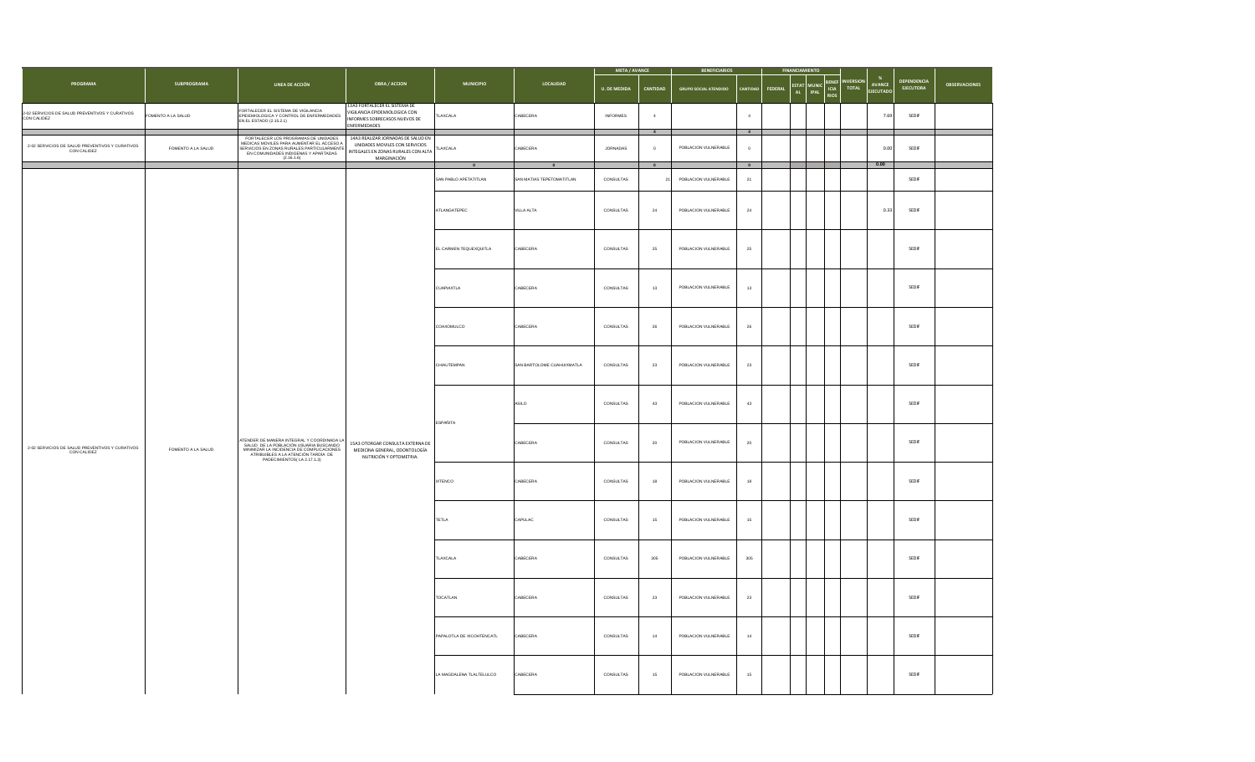|                                                                |                    |                                                                                                                                                                                                                 |                                                                                                                            |                           |                            | META / AVANCE       |                            | <b>BENEFICIARIOS</b>         |                              | <b>FINANCIAMIENTO</b>               |                                                                                                              |                                 |                      |
|----------------------------------------------------------------|--------------------|-----------------------------------------------------------------------------------------------------------------------------------------------------------------------------------------------------------------|----------------------------------------------------------------------------------------------------------------------------|---------------------------|----------------------------|---------------------|----------------------------|------------------------------|------------------------------|-------------------------------------|--------------------------------------------------------------------------------------------------------------|---------------------------------|----------------------|
| PROGRAMA                                                       | <b>SUBPROGRAMA</b> | LINEA DE ACCIÓN                                                                                                                                                                                                 | <b>OBRA / ACCION</b>                                                                                                       | <b>MUNICIPIO</b>          | LOCALIDAD                  | <b>U. DE MEDIDA</b> | CANTIDAD                   | <b>GRUPO SOCIAL ATENDIDO</b> | CANTIDAD<br><b>FEDERAL</b>   | ESTAT<br>MUNIC<br>AL<br><b>IPAL</b> | $\%$<br><b>INVERSION</b><br><b>BENEF</b><br>AVANCE<br><b>TOTAL</b><br>ICIA<br><b>JECUTADO</b><br><b>RIOS</b> | DEPENDENCIA<br><b>EJECUTORA</b> | <b>OBSERVACIONES</b> |
| 2-02 SERVICIOS DE SALUD PREVENTIVOS Y CURATIVOS<br>CON CALIDEZ | OMENTO A LA SALUD  | FORTALECER EL SISTEMA DE VIGILANCIA<br>EPIDEMIOLOGICA Y CONTROL DE ENFERMEDADES<br>EN EL ESTADO (2.15.2.1)                                                                                                      | 13A3 FORTALECER EL SISTEMA DE<br>VIGILANCIA EPIDEMIOLOGICA CON<br>INFORMES SOBRECASOS NUEVOS DE<br>ENFERMEDADES            | <b>ILAXCALA</b>           | CABECERA                   | <b>INFORMES</b>     | $\sim$<br>$\overline{4}$   |                              | $\sqrt{4}$<br>$\overline{4}$ |                                     | 7.69                                                                                                         | SEDIF                           |                      |
| 2-02 SERVICIOS DE SALUD PREVENTIVOS Y CURATIVOS<br>CON CALIDEZ | FOMENTO A LA SALUD | FORTALECER LOS PROGRAMAS DE UNIDADES<br>MEDICAS MOVILES PARA AUMENTAR EL ACCESO A<br>SERVICIOS EN ZONAS RURALES PARTICULARMENTE<br>EN COMUNIDADES INDIGENAS Y APARTADAS<br>EN COMUNIDADES INDIGENAS Y APARTADAS | 14A3 REALIZAR JORNADAS DE SALUD EN<br>UNIDADES MOVILES CON SERVICIOS<br>INTEGALES EN ZONAS RURALES CON ALTA<br>MARGINACIÓN | TLAXCALA<br>$\mathbf{0}$  | CABECERA<br>$\Omega$       | <b>JORNADAS</b>     | $\sqrt{2}$<br>$\mathbf{0}$ | POBLACION VULNERABLE         | $\overline{0}$               |                                     | 0.00<br>0.00                                                                                                 | SEDIF                           |                      |
|                                                                |                    |                                                                                                                                                                                                                 |                                                                                                                            | SAN PABLO APETATITLAN     | SAN MATIAS TEPETOMATITLAN  | CONSULTAS           | 21                         | POBLACION VULNERABLE         | $\bullet$<br>21              |                                     |                                                                                                              | SEDIF                           |                      |
|                                                                |                    |                                                                                                                                                                                                                 |                                                                                                                            | ATLANGATEPEC              | VILLA ALTA                 | CONSULTAS           | $\bf 24$                   | POBLACION VULNERABLE         | $^{\rm 24}$                  |                                     | 0.33                                                                                                         | SEDIF                           |                      |
|                                                                |                    |                                                                                                                                                                                                                 |                                                                                                                            | EL CARMEN TEQUEXQUITLA    | CABECERA                   | CONSULTAS           | 25                         | POBLACION VULNERABLE         | 25                           |                                     |                                                                                                              | SEDIF                           |                      |
|                                                                |                    |                                                                                                                                                                                                                 |                                                                                                                            | CUAPIAXTLA                | CABECERA                   | CONSULTAS           | 13                         | POBLACION VULNERABLE         | 13                           |                                     |                                                                                                              | SEDIF                           |                      |
|                                                                |                    |                                                                                                                                                                                                                 |                                                                                                                            | COAXOMULCO                | CABECERA                   | CONSULTAS           | ${\bf 26}$                 | POBLACION VULNERABLE         | ${\bf 26}$                   |                                     |                                                                                                              | SEDIF                           |                      |
|                                                                |                    | ATENDER DE MANERA INTEGRAL Y COORDINADA LA<br>SALUD DE LA POBLACIÓN USUARIA BUSCANDO<br>MINIMIZAR LA INCIDENCIA DE COMPLICACIONES<br>ATRIBUIBLES A LA ATENCIÓN TARDÍA DE<br>PADECIMIENTOS(LA 2.17.1.3)          | 15A3 OTORGAR CONSULTA EXTERNA DE<br>MEDICINA GENERAL, ODONTOLOGÍA<br>NUTRICIÓN Y OPTOMETRIA.                               | CHIAUTEMPAN               | SAN BARTOLOME CUAHUIXMATLA | CONSULTAS           | $^{\rm 23}$                | POBLACION VULNERABLE         | $^{\rm 23}$                  |                                     |                                                                                                              | SEDIF                           |                      |
|                                                                |                    |                                                                                                                                                                                                                 |                                                                                                                            | <b>ESPAÑITA</b>           | ASILO                      | CONSULTAS           | 43                         | POBLACION VULNERABLE         | 43                           |                                     |                                                                                                              | SEDIF                           |                      |
| 2-02 SERVICIOS DE SALUD PREVENTIVOS Y CURATIVOS<br>CON CALIDEZ | FOMENTO A LA SALUD |                                                                                                                                                                                                                 |                                                                                                                            |                           | CABECERA                   | CONSULTAS           | ${\bf 20}$                 | POBLACION VULNERABLE         | ${\bf 20}$                   |                                     |                                                                                                              | SEDIF                           |                      |
|                                                                |                    |                                                                                                                                                                                                                 |                                                                                                                            | <b>IXTENCO</b>            | CABECERA                   | CONSULTAS           | $18$                       | POBLACION VULNERABLE         | 18                           |                                     |                                                                                                              | SEDIF                           |                      |
|                                                                |                    |                                                                                                                                                                                                                 |                                                                                                                            | TETLA                     | CAPULAC                    | CONSULTAS           | 15                         | POBLACION VULNERABLE         | $15\,$                       |                                     |                                                                                                              | SEDIF                           |                      |
|                                                                |                    |                                                                                                                                                                                                                 |                                                                                                                            | TLAXCALA                  | CABECERA                   | CONSULTAS           | 305                        | POBLACION VULNERABLE         | 305                          |                                     |                                                                                                              | SEDIF                           |                      |
|                                                                |                    |                                                                                                                                                                                                                 |                                                                                                                            | TOCATLAN                  | CABECERA                   | CONSULTAS           | $^{\rm 23}$                | POBLACION VULNERABLE         | $\bf 23$                     |                                     |                                                                                                              | SEDIF                           |                      |
|                                                                |                    |                                                                                                                                                                                                                 |                                                                                                                            | PAPALOTLA DE XICOHTENCATL | CABECERA                   | CONSULTAS           | $^{\rm 14}$                | POBLACION VULNERABLE         | $14\,$                       |                                     |                                                                                                              | SEDIF                           |                      |
|                                                                |                    |                                                                                                                                                                                                                 |                                                                                                                            | LA MAGDALENA TLALTELULCO  | CABECERA                   | CONSULTAS           | 15                         | POBLACION VULNERABLE         | 15                           |                                     |                                                                                                              | SEDIF                           |                      |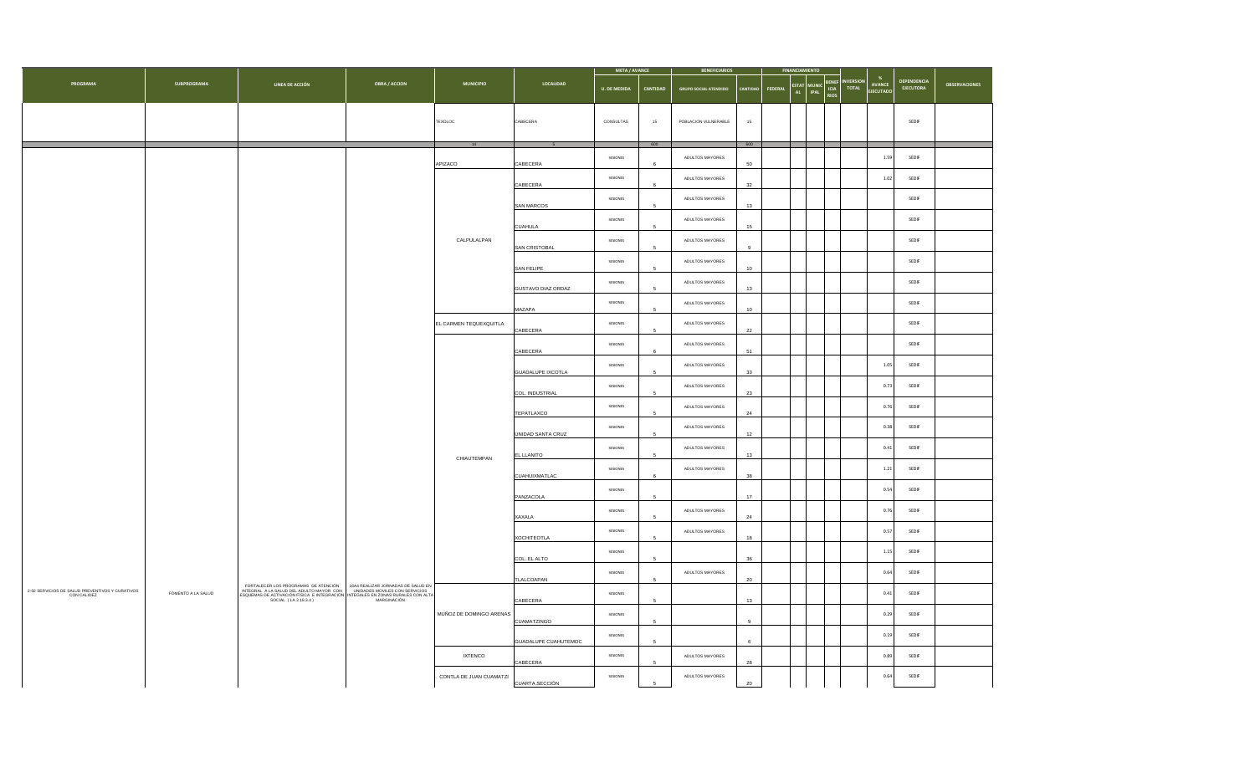|                                                             |                    |                                                                                                                                                                                                                                                        |                      |                         |                    | <b>META / AVANCE</b> |            | <b>BENEFICIARIOS</b>         |                  |          |                        |                                     |       |                           |                                 |                      |  |      |
|-------------------------------------------------------------|--------------------|--------------------------------------------------------------------------------------------------------------------------------------------------------------------------------------------------------------------------------------------------------|----------------------|-------------------------|--------------------|----------------------|------------|------------------------------|------------------|----------|------------------------|-------------------------------------|-------|---------------------------|---------------------------------|----------------------|--|------|
| PROGRAMA                                                    | <b>SUBPROGRAMA</b> | LINEA DE ACCIÓN                                                                                                                                                                                                                                        | <b>OBRA / ACCION</b> | <b>MUNICIPIO</b>        | LOCALIDAD          | <b>U. DE MEDIDA</b>  | CANTIDAD   | <b>GRUPO SOCIAL ATENDIDO</b> | <b>ANTIDAD</b>   | FEDERAL  | ESTAT MUNIC<br>AL IPAL | <b>SENEF</b><br>ICIA<br><b>RIOS</b> | TOTAL | <b>AVANCE</b><br>EJECUTAD | DEPENDENCIA<br><b>EJECUTORA</b> | <b>OBSERVACIONES</b> |  |      |
|                                                             |                    |                                                                                                                                                                                                                                                        |                      | TEXOLOC                 | CABECERA           | CONSULTAS            | $15\,$     | POBLACION VULNERABLE         | $15$             |          |                        |                                     |       |                           | SEDIF                           |                      |  |      |
|                                                             |                    |                                                                                                                                                                                                                                                        |                      |                         |                    |                      | 600        |                              | 600              |          |                        |                                     |       |                           |                                 |                      |  |      |
|                                                             |                    |                                                                                                                                                                                                                                                        |                      | APIZACO                 | CABECERA           | SESIONES             |            | ADULTOS MAYORES              | 50               |          |                        |                                     |       | 1.59                      | SEDIF                           |                      |  |      |
|                                                             |                    |                                                                                                                                                                                                                                                        |                      |                         | CABECERA           | SESIONES             | 6          | ADULTOS MAYORES              | 32               |          |                        |                                     |       | $1.02\,$                  | SEDIF                           |                      |  |      |
|                                                             |                    |                                                                                                                                                                                                                                                        |                      |                         | SAN MARCOS         | SESIONES             | 5          | ADULTOS MAYORES              | 13               |          |                        |                                     |       |                           | SEDIF                           |                      |  |      |
|                                                             |                    |                                                                                                                                                                                                                                                        |                      |                         | <b>CUAHULA</b>     | SESIONES             |            | ADULTOS MAYORES              | 15               |          |                        |                                     |       |                           | SEDIF                           |                      |  |      |
|                                                             |                    |                                                                                                                                                                                                                                                        |                      | CALPULALPAN             | SAN CRISTOBAL      | SESIONES             | 5          | ADULTOS MAYORES              | $\mathfrak{g}$   |          |                        |                                     |       |                           | SEDIF                           |                      |  |      |
|                                                             |                    |                                                                                                                                                                                                                                                        |                      |                         | SAN FELIPE         | SESIONES             |            | ADULTOS MAYORES              | 10 <sub>10</sub> |          |                        |                                     |       |                           | SEDIF                           |                      |  |      |
|                                                             |                    |                                                                                                                                                                                                                                                        |                      |                         | GUSTAVO DIAZ ORDAZ | SESIONES             | 5          | ADULTOS MAYORES              | 13               |          |                        |                                     |       |                           | SEDIF                           |                      |  |      |
|                                                             |                    |                                                                                                                                                                                                                                                        |                      |                         | MAZAPA             | SESIONES             | 5          | ADULTOS MAYORES              | 10 <sup>10</sup> |          |                        |                                     |       |                           | SEDIF                           |                      |  |      |
|                                                             |                    |                                                                                                                                                                                                                                                        |                      | EL CARMEN TEQUEXQUITLA  | CABECERA           | SESIONES             | 5          | ADULTOS MAYORES              | $22\,$           |          |                        |                                     |       |                           | SEDIF                           |                      |  |      |
|                                                             |                    |                                                                                                                                                                                                                                                        |                      |                         | CABECERA           | SESIONES             | $\kappa$   | ADULTOS MAYORES              | 51               |          |                        |                                     |       |                           | SEDIF                           |                      |  |      |
|                                                             |                    |                                                                                                                                                                                                                                                        |                      |                         | GUADALUPE IXCOTLA  | SESIONES             | 5          | ADULTOS MAYORES              | 33               |          |                        |                                     |       | 1.05                      | SEDIF                           |                      |  |      |
|                                                             |                    |                                                                                                                                                                                                                                                        |                      |                         | COL. INDUSTRIAL    | SESIONES             | 5          | ADULTOS MAYORES              | 23               |          |                        |                                     |       | 0.73                      | SEDIF                           |                      |  |      |
|                                                             |                    |                                                                                                                                                                                                                                                        |                      |                         | TEPATLAXCO         | SESIONES             | 5          | ADULTOS MAYORES              | 24               |          |                        |                                     |       | 0.76                      | SEDIF                           |                      |  |      |
|                                                             |                    |                                                                                                                                                                                                                                                        |                      | CHIAUTEMPAN             | UNIDAD SANTA CRUZ  | SESIONES             | 5          | ADULTOS MAYORES              | 12               |          |                        |                                     |       | 0.38                      | SEDIF                           |                      |  |      |
|                                                             |                    |                                                                                                                                                                                                                                                        |                      |                         |                    | EL LLANITO           | SESIONES   | 5                            | ADULTOS MAYORES  | 13       |                        |                                     |       |                           | 0.41                            | SEDIF                |  |      |
|                                                             |                    |                                                                                                                                                                                                                                                        |                      |                         |                    |                      |            |                              | CUAHUIXMATLAC    | SESIONES |                        | ADULTOS MAYORES                     | 38    |                           |                                 |                      |  | 1.21 |
|                                                             |                    |                                                                                                                                                                                                                                                        |                      |                         | PANZACOLA          | SESIONES             | 5          |                              | 17               |          |                        |                                     |       | 0.54                      | SEDIF                           |                      |  |      |
|                                                             |                    |                                                                                                                                                                                                                                                        |                      |                         | XAXALA             | SESIONES             |            | ADULTOS MAYORES              | 24               |          |                        |                                     |       | 0.76                      | SEDIF                           |                      |  |      |
|                                                             |                    |                                                                                                                                                                                                                                                        |                      |                         | <b>XOCHITEOTLA</b> | SESIONES             | $\sqrt{5}$ | ADULTOS MAYORES              | 18               |          |                        |                                     |       | 0.57                      | SEDIF                           |                      |  |      |
|                                                             |                    |                                                                                                                                                                                                                                                        |                      |                         | COL. EL ALTO       | SESIONES             | 5          |                              | 36               |          |                        |                                     |       | 1.15                      | SEDIF                           |                      |  |      |
|                                                             |                    |                                                                                                                                                                                                                                                        |                      |                         | TLALCOAPAN         | SESIONES             | 5          | ADULTOS MAYORES              | $20\,$           |          |                        |                                     |       | 0.64                      | SEDIF                           |                      |  |      |
| 2-02 SERVICIOS DE SALUD PREVENTIVOS Y CURATIVOS CON CALIDEZ | FOMENTO A LA SALUD | FORTALECER LOS PROGRAMAS DE ATENCIÓN 16A4 REALIZAR JORNADAS DE SALUD EN INTEGRAL A LA SALUD EN ESCALUD EN ESCALUD EN ESCALUD EN ESCALUD EN ESCALUD EN ESCALUD EN ESCALUD EN ESCALUD EN ESCALUD EN ESCALUD EN ESCALUD ESCALUD E<br>SOCIAL (LA 2.18.3.4) | MARGINACIÓN          |                         | CABECERA           | SESIONES             | 5          |                              | 13               |          |                        |                                     |       | 0.41                      | SEDIF                           |                      |  |      |
|                                                             |                    |                                                                                                                                                                                                                                                        |                      | MUÑOZ DE DOMINGO ARENAS | CUAMATZINGO        | SESIONES             | 5          |                              | 9 <sup>°</sup>   |          |                        |                                     |       | 0.29                      | SEDIF                           |                      |  |      |
|                                                             |                    |                                                                                                                                                                                                                                                        |                      | GUADALUPE CUAHUTEMOC    | SESIONES           | -5                   |            | 6                            |                  |          |                        |                                     | 0.19  | SEDIF                     |                                 |                      |  |      |
|                                                             |                    |                                                                                                                                                                                                                                                        |                      |                         | <b>IXTENCO</b>     | CABECERA             | SESIONES   | 5                            | ADULTOS MAYORES  | 28       |                        |                                     |       |                           | 0.89                            | SEDIF                |  |      |
|                                                             |                    |                                                                                                                                                                                                                                                        |                      | CONTLA DE JUAN CUAMATZI | CUARTA SECCIÓN     | SESIONES             | 5          | ADULTOS MAYORES              | 20               |          |                        |                                     |       | 0.64                      | SEDIF                           |                      |  |      |